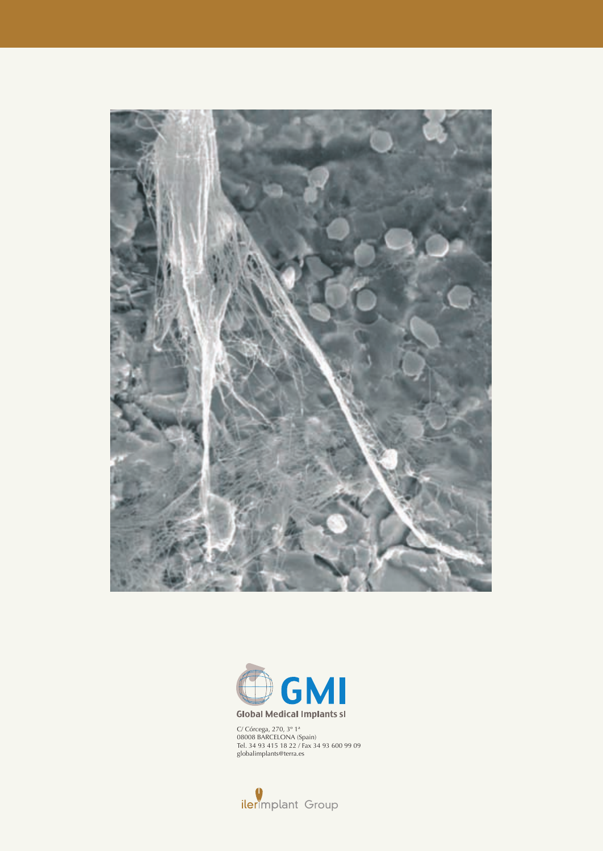



C/ Córcega, 270, 3º 1ª 08008 BARCELONA (Spain) Tel. 34 93 415 18 22 / Fax 34 93 600 99 09 globalimplants@terra.es

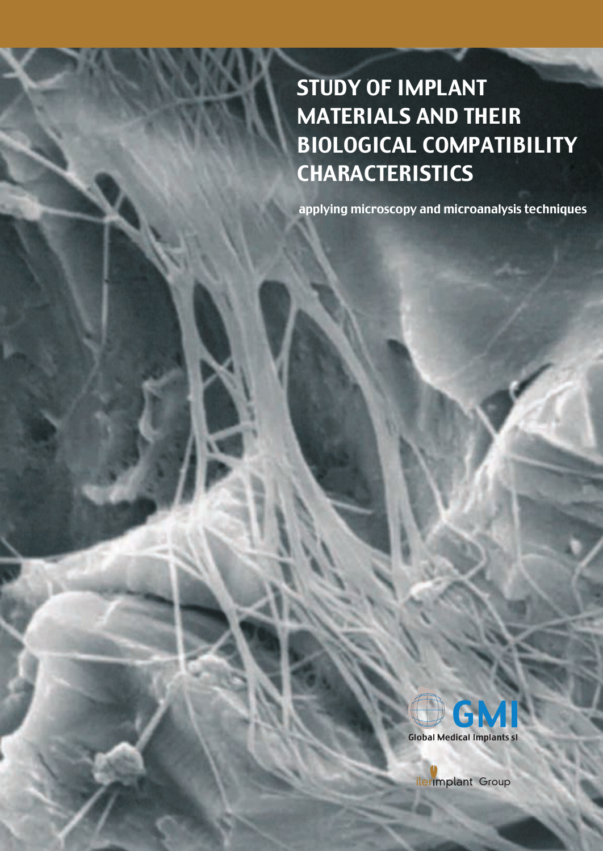# STUDY OF IMPLANT MATERIALS AND THEIR BIOLOGICAL COMPATIBILITY **CHARACTERISTICS**

applying microscopy and microanalysis techniques



ilerimplant Group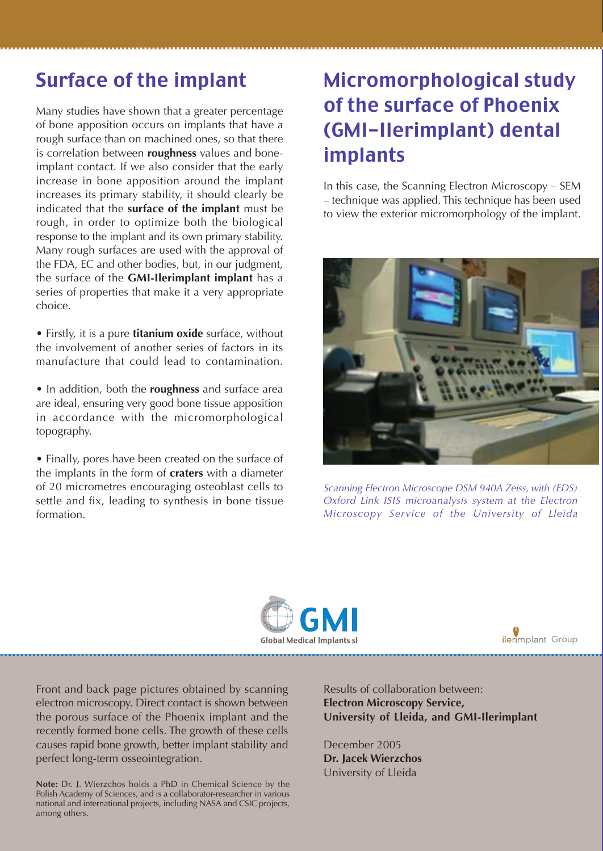#### Surface of the implant

Many studies have shown that a greater percentage of bone apposition occurs on implants that have a rough surface than on machined ones, so that there is correlation between **roughness** values and boneimplant contact. If we also consider that the early increase in bone apposition around the implant increases its primary stability, it should clearly be indicated that the **surface of the implant** must be rough, in order to optimize both the biological response to the implant and its own primary stability. Many rough surfaces are used with the approval of the FDA, EC and other bodies, but, in our judgment, the surface of the **GMI-Ilerimplant implant** has a series of properties that make it a very appropriate choice.

• Firstly, it is a pure **titanium oxide** surface, without the involvement of another series of factors in its manufacture that could lead to contamination.

• In addition, both the **roughness** and surface area are ideal, ensuring very good bone tissue apposition in accordance with the micromorphological topography.

• Finally, pores have been created on the surface of the implants in the form of **craters** with a diameter of 20 micrometres encouraging osteoblast cells to settle and fix, leading to synthesis in bone tissue formation.

# Micromorphological study of the surface of Phoenix (GMI-Ilerimplant) dental implants

In this case, the Scanning Electron Microscopy – SEM – technique was applied. This technique has been used to view the exterior micromorphology of the implant.



*Scanning Electron Microscope DSM 940A Zeiss, with (EDS) Oxford Link ISIS microanalysis system at the Electron Microscopy Service of the University of Lleida*





Front and back page pictures obtained by scanning electron microscopy. Direct contact is shown between the porous surface of the Phoenix implant and the recently formed bone cells. The growth of these cells causes rapid bone growth, better implant stability and perfect long-term osseointegration.

**Note:** Dr. J. Wierzchos holds a PhD in Chemical Science by the Polish Academy of Sciences, and is a collaborator-researcher in various national and international projects, including NASA and CSIC projects, among others.

Results of collaboration between: **Electron Microscopy Service, University of Lleida, and GMI-Ilerimplant**

December 2005 **Dr. Jacek Wierzchos** University of Lleida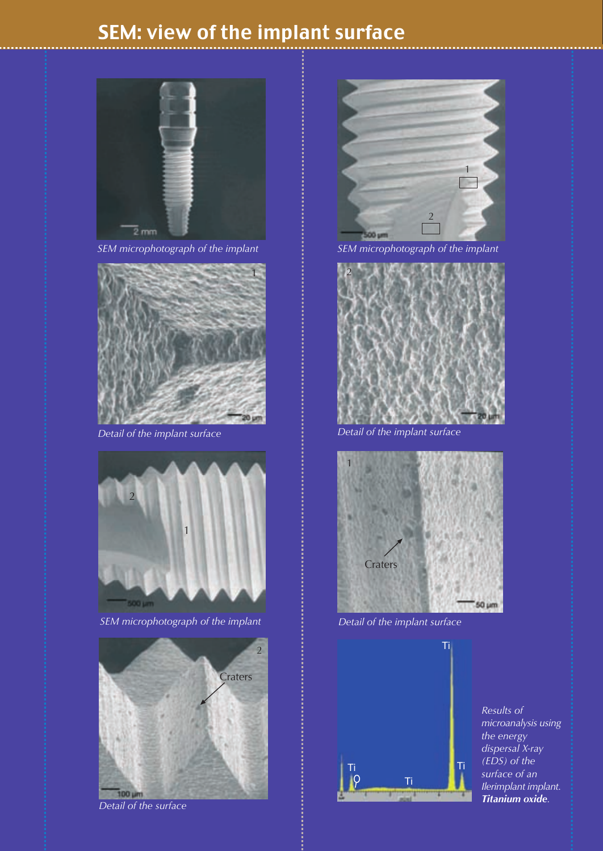### SEM: view of the implant surface



*SEM microphotograph of the implant SEM microphotograph of the implant*





*SEM microphotograph of the implant Detail of the implant surface*







*Detail of the implant surface Detail of the implant surface*





*Results of microanalysis using the energy dispersal X-ray (EDS) of the surface of an Ilerimplant implant. Titanium oxide.*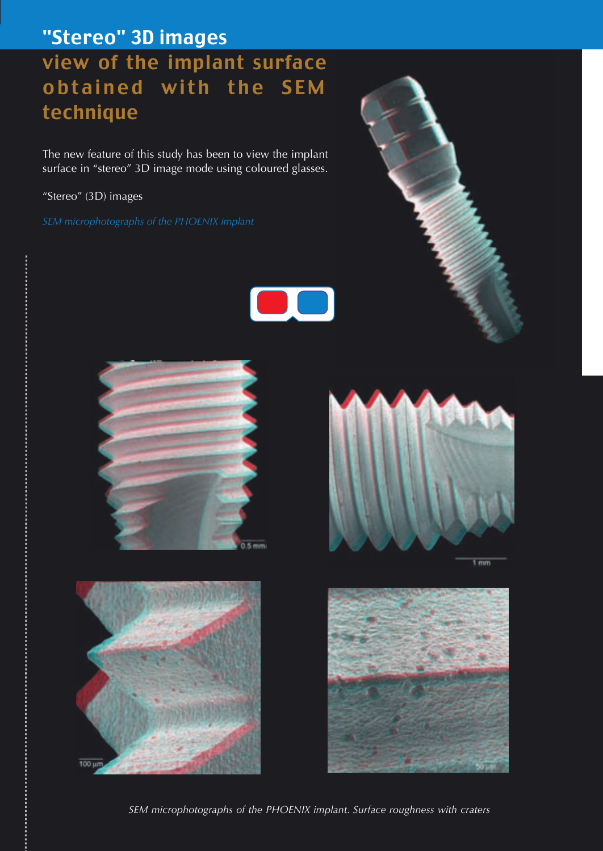# "Stereo" 3D images view of the implant surface obtained with the SEM technique

The new feature of this study has been to view the implant surface in "stereo" 3D image mode using coloured glasses.

"Stereo" (3D) images











*SEM microphotographs of the PHOENIX implant. Surface roughness with craters*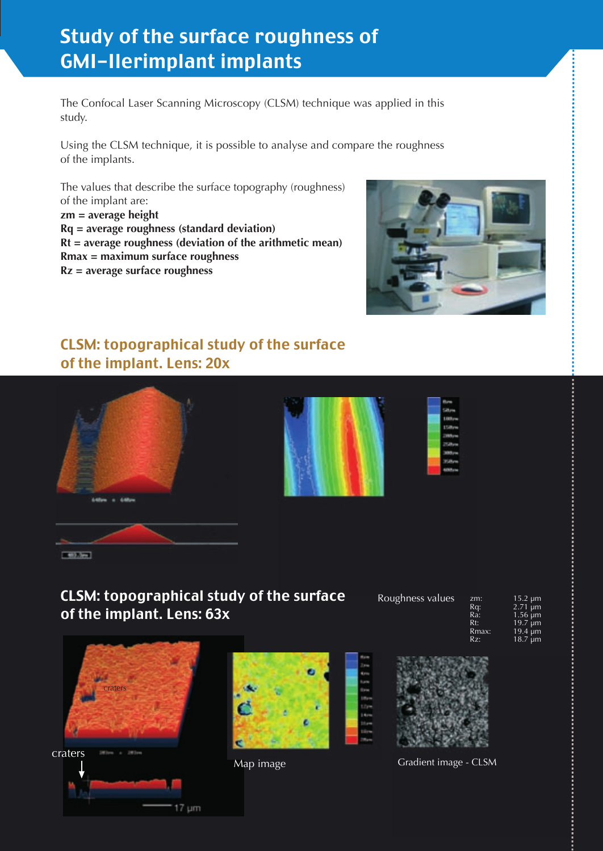## Study of the surface roughness of GMI-Ilerimplant implants

The Confocal Laser Scanning Microscopy (CLSM) technique was applied in this study.

Using the CLSM technique, it is possible to analyse and compare the roughness of the implants.

The values that describe the surface topography (roughness) of the implant are: **zm = average height Rq = average roughness (standard deviation) Rt = average roughness (deviation of the arithmetic mean) Rmax = maximum surface roughness**

**Rz = average surface roughness**



#### CLSM: topographical study of the surface of the implant. Lens: 20x



#### CLSM: topographical study of the surface of the implant. Lens: 63x





Roughness values

| zm:   | $15.2 \mu m$ |
|-------|--------------|
| Rq:   | $2.71 \mu m$ |
| Ra:   | $1.56 \mu m$ |
| Rt:   | $19.7 \mu m$ |
| Rmax: | $19.4 \mu m$ |
| Rz:   | 18.7 $\mu$ m |

zm:

Rt: Rmax: 19.4 µm Rz:



Map image Gradient image - CLSM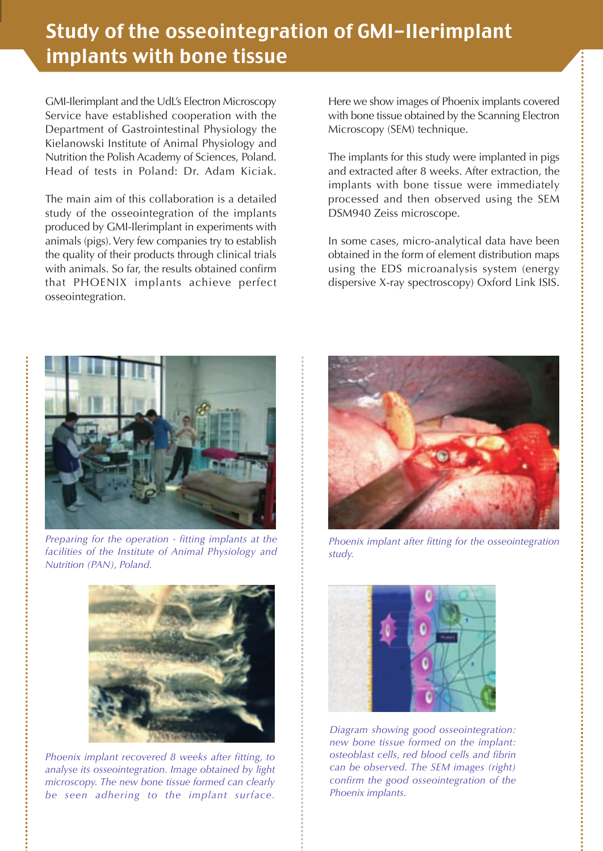### Study of the osseointegration of GMI-Ilerimplant implants with bone tissue

GMI-Ilerimplant and the UdL's Electron Microscopy Service have established cooperation with the Department of Gastrointestinal Physiology the Kielanowski Institute of Animal Physiology and Nutrition the Polish Academy of Sciences, Poland. Head of tests in Poland: Dr. Adam Kiciak.

The main aim of this collaboration is a detailed study of the osseointegration of the implants produced by GMI-Ilerimplant in experiments with animals (pigs). Very few companies try to establish the quality of their products through clinical trials with animals. So far, the results obtained confirm that PHOENIX implants achieve perfect osseointegration.

Here we show images of Phoenix implants covered with bone tissue obtained by the Scanning Electron Microscopy (SEM) technique.

The implants for this study were implanted in pigs and extracted after 8 weeks. After extraction, the implants with bone tissue were immediately processed and then observed using the SEM DSM940 Zeiss microscope.

In some cases, micro-analytical data have been obtained in the form of element distribution maps using the EDS microanalysis system (energy dispersive X-ray spectroscopy) Oxford Link ISIS.



*Preparing for the operation - fitting implants at the facilities of the Institute of Animal Physiology and Nutrition (PAN), Poland.*



*Phoenix implant recovered 8 weeks after fitting, to analyse its osseointegration. Image obtained by light microscopy. The new bone tissue formed can clearly be seen adhering to the implant surface.*



*Phoenix implant after fitting for the osseointegration study.*



*Diagram showing good osseointegration: new bone tissue formed on the implant: osteoblast cells, red blood cells and fibrin can be observed. The SEM images (right) confirm the good osseointegration of the Phoenix implants.*